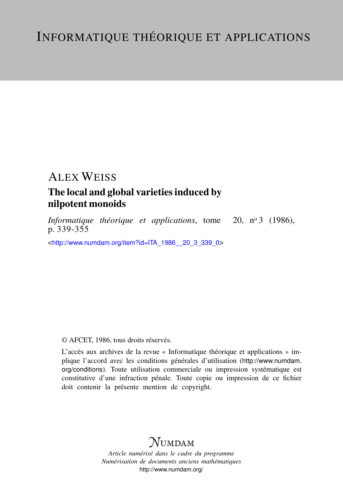# ALEX WEISS

## The local and global varieties induced by nilpotent monoids

*Informatique théorique et applications*, tome 20, nº 3 (1986), p.  $339 - 355$ 

<[http://www.numdam.org/item?id=ITA\\_1986\\_\\_20\\_3\\_339\\_0](http://www.numdam.org/item?id=ITA_1986__20_3_339_0)>

## © AFCET, 1986, tous droits réservés.

L'accès aux archives de la revue « Informatique théorique et applications » implique l'accord avec les conditions générales d'utilisation ([http://www.numdam.](http://www.numdam.org/conditions) [org/conditions](http://www.numdam.org/conditions)). Toute utilisation commerciale ou impression systématique est constitutive d'une infraction pénale. Toute copie ou impression de ce fichier doit contenir la présente mention de copyright.

# $N$ UMDAM

*Article numérisé dans le cadre du programme Numérisation de documents anciens mathématiques* <http://www.numdam.org/>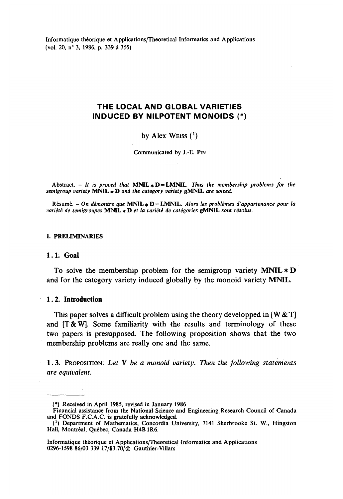**Informatique théorique et Applications/Theoretical Informaties and Applications (vol. 20, n° 3, 1986, p. 339 à 355)**

## **THE LOCAL AND GLOBAL VARIETIES INDUCED BY NILPOTENT MONOIDS (\*)**

#### **by Alex** WEISS (\*)

**Communicated by J.-E. PIN**

Abstract.  $-$  *It is proved that* **MNIL**  $*$  **D** = **LMNIL**. Thus the membership problems for the *semigroup variety* **MNIL \* D** *and the category variety* **gMNIL** *are solved.*

**Résumé. -** *On démontre que* **MNIL \* D — LMNIL.** *Alors tes problèmes d'appartenance pour la variété de semigroupes* **MNIL \* D** *et la variété de catégories* **gMNIL** *sont résolus.*

#### **1. PRELIMINARIES**

#### **1.1. Goal**

To soive the membership problem for the semigroup variety **MNIL\*D** and for the category variety induced globally by the monoid variety **MNIL.**

### **1.2. Introduction**

This paper solves a difficult problem using the theory developped in  ${W & T}$ and  $[T & W]$ . Some familiarity with the results and terminology of these two papers is presupposed. The following proposition shows that the two membership problems are really one and the same.

1.3. PROPOSITION: *Let* Y *be a monoid variety, Then the following statements are equivalent.*

**<sup>&</sup>lt;\*) Received in April 1985, revised in January 1986**

**Financial assistance from the National Science and Engineering Research Council of Canada and FONDS F.CA.C is gratefully acknowledged.**

**<sup>(</sup> x ) Department of Mathematics, Concordia University, 7141 Sherbrooke St. W., Hingston Hall, Montréal, Québec, Canada H4B1R6.**

**Informatique théorique et Applicaiions/Theoretical Informaties and Applications 0296-1598 86/03 339 17/S3.70/© Gauthier-Vülars**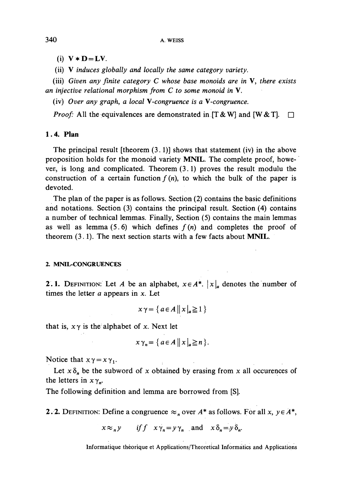$(i)$   $V * D = LV$ .

(ii) V *induces globally and locally the same category variety,*

(iii) *Given any Jïnite category C whose base monoids are in* V, *there exists an injective relational morphism from C to some monoid in* V.

(iv) *Over any graph, a local \-congruence is a V-congruence.*

*Proof:* All the equivalences are demonstrated in  $[T & W]$  and  $[W & T]$ .

### **1.4. Plan**

The principal result [theorem  $(3.1)$ ] shows that statement (iv) in the above proposition holds for the monoid variety **MNIL.** The complete proof, however, is long and complicated. Theorem (3.1) proves the resuit modulu the construction of a certain function  $f(n)$ , to which the bulk of the paper is devoted.

The plan of the paper is as follows. Section (2) contains the basic définitions and notations. Section (3) contains the principal resuit. Section (4) contains a number of technical lemmas. Finally, Section (5) contains the main lemmas as well as lemma  $(5.6)$  which defines  $f(n)$  and completes the proof of theorem (3.1). The next section starts with a few facts about **MNIL.**

#### 2. MNIL-CONGRUENCES

2.1. DEFINITION: Let *A* be an alphabet,  $x \in A^*$ .  $|x|_a$  denotes the number of times the letter *a* appears in *x.* Let

$$
x \gamma = \{ a \in A \, \big| \, x \big|_a \geq 1 \, \}
$$

that is,  $x \gamma$  is the alphabet of x. Next let

$$
x \gamma_n = \{ a \in A \, \big| \, x \big|_a \geq n \, \}.
$$

Notice that  $x \gamma = x \gamma_1$ .

Let  $x \delta_n$  be the subword of x obtained by erasing from x all occurences of the letters in  $x \gamma_n$ .

The following définition and lemma are borrowed from [S].

**2.2.** DEFINITION: Define a congruence  $\approx$  over  $A^*$  as follows. For all x,  $y \in A^*$ ,

 $x \approx_{n} y$  if  $f x \gamma_{n} = y \gamma_{n}$  and  $x \delta_{n} = y \delta_{n}$ .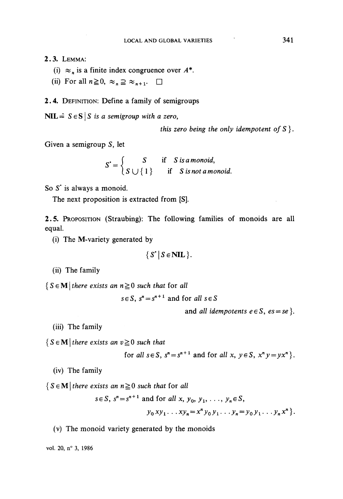## 2.3. LEMMA:

- (i)  $\approx$ <sub>n</sub> is a finite index congruence over  $A^*$ .
- (ii) For all  $n \ge 0$ ,  $\approx_n \supseteq \approx_{n+1}$ .  $\Box$

#### 2.4. DEFINITION: Define a family of semigroups

 $NIL \triangleq S \in S | S$  is a semigroup with a zero,

*this zero being the only idempotent of*  $S$  }.

Given a semigroup *S,* let

$$
S' = \begin{cases} S & \text{if} S \text{ is a monoid,} \\ S \cup \{1\} & \text{if} S \text{ is not a monoid.} \end{cases}
$$

So *S'* is always a monoid.

The next proposition is extracted from [S].

2.5. PROPOSITION (Straubing): The following families of monoids are ail equal.

(i) The M-variety generated by

$$
\{S^{\bullet} \mid S \in \mathbf{NIL}\}.
$$

(ii) The family

 ${S \in \mathbf{M}$  *there exists an*  $n \geq 0$  *such that* for *all* 

 $s \in S$ ,  $s^n = s^{n+1}$  and for *all*  $s \in S$ 

and *all idempotents*  $e \in S$ ,  $es = se$  ?.

(iii) The family

 ${S \in \mathbf{M} \mid there \ exists \ an \ v \geq 0 \ such \ that}$ 

for all  $s \in S$ ,  $s^n = s^{n+1}$  and for all  $x, y \in S$ ,  $x^n y = y x^n$ .

(iv) The family

 ${S \in \mathbf{M} \mid \text{there exists an } n \geq 0 \text{ such that for all}}$ 

$$
s \in S
$$
,  $s^n = s^{n+1}$  and for all x,  $y_0, y_1, ..., y_n \in S$ ,  
 $y_0 xy_1 ... xy_n = x^n y_0 y_1 ... y_n = y_0 y_1 ... y_n x^n$ .

(v) The monoid variety generated by the monoids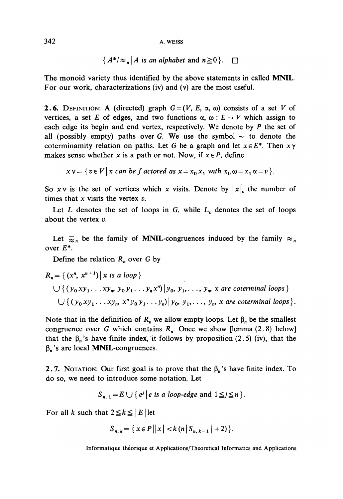342 A. WEiss

 ${A^*}{\approx_n}$  *A* is an alphabet and  $n \ge 0$  }.  $\Box$ 

The monoid variety thus identified by the above statements in called MNIL. For our work, characterizations (iv) and (v) are the most useful.

**2.6.** DEFINITION: A (directed) graph  $G = (V, E, \alpha, \omega)$  consists of a set V of vertices, a set *E* of edges, and two functions  $\alpha$ ,  $\omega$  :  $E \rightarrow V$  which assign to each edge its begin and end vertex, respectively. We dénote by *P* the set of all (possibly empty) paths over G. We use the symbol  $\sim$  to denote the coterminamity relation on paths. Let G be a graph and let  $x \in E^*$ . Then  $x \gamma$ makes sense whether x is a path or not. Now, if  $x \in P$ , define

 $x y = \{v \in V | x$  can be f actored as  $x = x_0 x_1$  with  $x_0 \omega = x_1 \alpha = v$ .

So x v is the set of vertices which x visits. Denote by  $|x|_v$  the number of times that x visits the vertex *v.*

Let  $L$  denotes the set of loops in  $G$ , while  $L<sub>v</sub>$  denotes the set of loops about the vertex *v.*

Let  $\overline{\approx}_n$  be the family of MNIL-congruences induced by the family  $\approx_n$ over £\*.

Define the relation *Rn* over G by

$$
R_n = \{ (x^n, x^{n+1}) | x \text{ is a loop} \}
$$
  
 
$$
\bigcup \{ (y_0 xy_1 \dots xy_m, y_0 y_1 \dots y_n x^n) | y_0, y_1, \dots, y_n \text{ are coterminal loops} \}
$$
  
 
$$
\bigcup \{ (y_0 xy_1 \dots xy_m, x^n y_0 y_1 \dots y_n) | y_0, y_1, \dots, y_n \text{ are coterminal loops} \}.
$$

Note that in the definition of  $R_n$  we allow empty loops. Let  $\beta_n$  be the smallest congruence over G which contains *Rn.* Once we show [lemma (2. 8) below] that the  $\beta_n$ 's have finite index, it follows by proposition (2.5) (iv), that the  $\beta_n$ 's are local MNIL-congruences.

2.7. NOTATION: Our first goal is to prove that the  $\beta_n$ 's have finite index. To do so, we need to introducé some notation. Let

$$
S_{n, 1} = E \cup \{e^j \mid e \text{ is a loop-edge and } 1 \leq j \leq n\}.
$$

For all *k* such that  $2 \le k \le |E|$  let

$$
S_{n, k} = \{ x \in P \, \big| \, |x| < k \, (n \, | \, S_{n, k-1} \, | \, +2) \, \}.
$$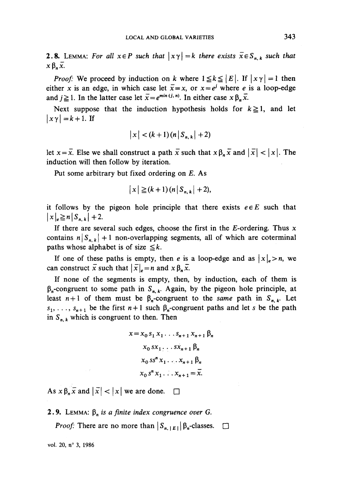**2.8.** LEMMA: For all  $x \in P$  such that  $|x \gamma| = k$  there exists  $\overline{x} \in S_{n,k}$  such that  $x \beta_n \overline{x}$ .

*Proof:* We proceed by induction on *k* where  $1 \le k \le |E|$ . If  $|x\gamma| = 1$  then either x is an edge, in which case let  $\bar{x} = x$ , or  $x = e^j$  where *e* is a loop-edge and  $j \ge 1$ . In the latter case let  $\bar{x} = e^{min(i, n)}$ . In either case  $x \beta_n \bar{x}$ .

Next suppose that the induction hypothesis holds for  $k \ge 1$ , and let  $|x\gamma|=k+1$ . If

$$
|x| < (k+1)(n|S_{n,k}|+2)
$$

let  $x = \overline{x}$ . Else we shall construct a path  $\overline{x}$  such that  $x \beta_n \overline{x}$  and  $|\overline{x}| < |x|$ . The induction will then follow by iteration.

Put some arbitrary but fixed ordering on £, As

$$
|x| \geq (k+1) (n |S_{n,k}| + 2),
$$

it follows by the pigeon hole principle that there exists  $e \in E$  such that  $|x| \geq n|S_{n,k}|+2.$ 

If there are several such edges, choose the first in the  $E$ -ordering. Thus  $x$ contains  $n | S_{n,k} | + 1$  non-overlapping segments, all of which are coterminal paths whose alphabet is of size  $\leq k$ .

If one of these paths is empty, then e is a loop-edge and as  $|x|_e > n$ , we can construct  $\bar{x}$  such that  $|\bar{x}|_e = n$  and  $x \beta_n \bar{x}$ .

If none of the segments is empty, then, by induction, each of them is  $\beta_n$ -congruent to some path in  $S_{n,k}$ . Again, by the pigeon hole principle, at least  $n+1$  of them must be  $\beta_n$ -congruent to the *same* path in  $S_{n,k}$ . Let  $s_1, \ldots, s_{n+1}$  be the first  $n+1$  such  $\beta_n$ -congruent paths and let *s* be the path in  $S_{n,k}$  which is congruent to then. Then

$$
x = x_0 s_1 x_1 \dots s_{n+1} x_{n+1} \beta_n
$$
  
\n
$$
x_0 s x_1 \dots s x_{n+1} \beta_n
$$
  
\n
$$
x_0 s s^n x_1 \dots s_{n+1} \beta_n
$$
  
\n
$$
x_0 s^n x_1 \dots x_{n+1} = \overline{x}.
$$

As  $x \beta_n \overline{x}$  and  $|\overline{x}| < |x|$  we are done.  $\Box$ 

**2.9.** LEMMA:  $\beta_n$  is a finite index congruence over G.

*Proof:* There are no more than  $|S_{n, |E|}|\beta_n$ -classes. □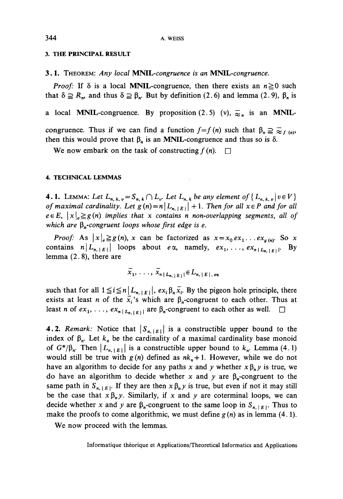#### **3. THE PRINCIPAL RESULT**

3,1. THEOREM: *Any local MNIL-congruence is an MNIL-congruence.*

*Proof:* If  $\delta$  is a local **MNIL**-congruence, then there exists an  $n \ge 0$  such that  $\delta \supseteq R_n$ , and thus  $\delta \supseteq \beta_n$ . But by definition (2.6) and lemma (2.9),  $\beta_n$  is

a local MNIL-congruence. By proposition (2.5) (v),  $\overline{\approx}_n$  is an MNIL-

congruence. Thus if we can find a function  $f=f(n)$  such that  $\beta_n \supseteq \supseteq f(n)$ , then this would prove that  $\beta_n$  is an MNIL-congruence and thus so is  $\delta$ .

We now embark on the task of constructing  $f(n)$ .  $\Box$ 

#### **4. TECHNICAL LEMMAS**

**4.1.** LEMMA: Let  $L_{n,k,v} = S_{n,k} \cap L_v$ . Let  $L_{n,k}$  be any element of  $\{L_{n,k,v} | v \in V\}$ *of maximal cardinality. Let*  $g(n) = n \lfloor L_{n+1} \rfloor + 1$ . Then for all  $x \in P$  and for all  $e \in E$ ,  $|x|_e \geq g(n)$  implies that x contains n non-overlapping segments, all of *which are*  $\beta_n$ -congruent loops whose first edge is e.

*Proof:* As  $|x|_e \geq g(n)$ , x can be factorized as  $x = x_0 e x_1 \dots e x_{g(n)}$ . So x contains  $n | L_{n, |E|}$  loops about  $e \alpha$ , namely,  $ex_1, \ldots, ex_{n |L_{n, |E|}}$  By lemma  $(2.8)$ , there are

$$
x_1, \ldots, x_{n+L_{n,|E|}} \in L_{n,|E|,eq}
$$

such that for all  $1 \leq i \leq n | L_{n, |E|}$ ,  $ex_i \beta_n \overline{x_i}$ . By the pigeon hole principle, there exists at least *n* of the  $x_i$ 's which are  $\beta_n$ -congruent to each other. Thus at least *n* of  $ex_1, \ldots, ex_{n+L_n, |E|}$  are  $\beta_n$ -congruent to each other as well.  $\square$ 

4.2. *Remark:* Notice that  $|S_{n, [E]}|$  is a constructible upper bound to the index of  $\beta_n$ . Let  $k_n$  be the cardinality of a maximal cardinality base monoid of  $G^*/\beta_n$ . Then  $|L_{n,1E}|$  is a constructible upper bound to  $k_n$ . Lemma (4.1) would still be true with  $g(n)$  defined as  $nk<sub>n</sub>+1$ . However, while we do not have an algorithm to decide for any paths x and y whether  $x \beta_n y$  is true, we do have an algorithm to decide whether x and y are  $\beta_n$ -congruent to the same path in  $S_{n, |E|}$ . If they are then  $x \beta_n y$  is true, but even if not it may still be the case that  $x \beta_n y$ . Similarly, if x and y are coterminal loops, we can decide whether x and y are  $\beta_n$ -congruent to the same loop in  $S_{n, [E]}$ . Thus to make the proofs to come algorithmic, we must define  $g(n)$  as in lemma (4.1).

We now proceed with the lemmas.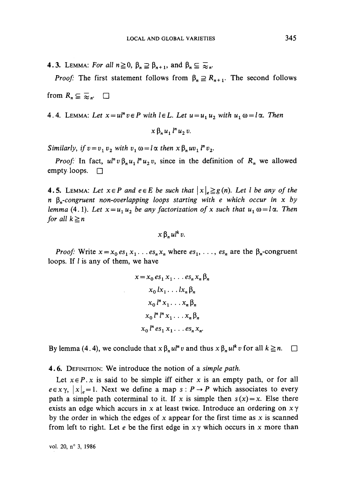**4.3.** LEMMA: For all  $n \ge 0$ ,  $\beta_n \supseteq \beta_{n+1}$ , and  $\beta_n \subseteq \overline{\infty}_n$ .

*Proof:* The first statement follows from  $\beta_n \supseteq R_{n+1}$ . The second follows

from  $R_n \subseteq \overline{\approx}_n$ .  $\Box$ 

4.4. LEMMA: Let  $x = ul^n v \in P$  with  $l \in L$ . Let  $u = u_1 u_2$  with  $u_1 \omega = l \alpha$ . Then

 $x \beta, u, l^n u, v.$ 

*Similarly, if*  $v = v_1 v_2$  *with*  $v_1 \omega = l \alpha$  *then*  $x \beta_n u v_1$  *l*<sup>*n*</sup>  $v_2$ *.* 

*Proof:* In fact,  $u^n v \beta_n u_1 l^n u_2 v$ , since in the definition of  $R_n$  we allowed empty loops.  $\Box$ 

**4.5.** LEMMA: Let  $x \in P$  and  $e \in E$  be such that  $\left| x \right|_e \geq g(n)$ . Let l be any of the *n \$n-congruent non-overlapping loops starting with e which occur in x by lemma* (4.1). Let  $x = u_1 u_2$  be any factorization of x such that  $u_1 \omega = l \alpha$ . Then *for all*  $k \geq n$ 

 $x \beta$ ,  $u l^k v$ .

*Proof:* Write  $x = x_0 e s_1 x_1 \dots e s_n x_n$  where  $e s_1, \dots, e s_n$  are the  $\beta_n$ -congruent loops. If *l* is any of them, we have

$$
x = x_0 es_1 x_1 \dots es_n x_n \beta_n
$$
  
\n
$$
x_0 lx_1 \dots lx_n \beta_n
$$
  
\n
$$
x_0 l^n x_1 \dots x_n \beta_n
$$
  
\n
$$
x_0 l^n l^n x_1 \dots x_n \beta_n
$$
  
\n
$$
x_0 l^n es_1 x_1 \dots es_n x_n.
$$

By lemma (4.4), we conclude that  $x \beta_n u l^n v$  and thus  $x \beta_n u l^k v$  for all  $k \geq n$ .  $\Box$ 

4.6. DÉFINITION: We introducé the notion of a *simple path.*

Let  $x \in P$ . x is said to be simple iff either x is an empty path, or for all  $e \in x \gamma$ ,  $|x|_e = 1$ . Next we define a map  $s : P \to P$  which associates to every path a simple path coterminal to it. If x is simple then  $s(x) = x$ . Else there exists an edge which accurs in x at least twice. Introduce an ordering on  $x \gamma$ by the order in which the edges of x appear for the first time as  $x$  is scanned from left to right. Let *e* be the first edge in  $x \gamma$  which occurs in x more than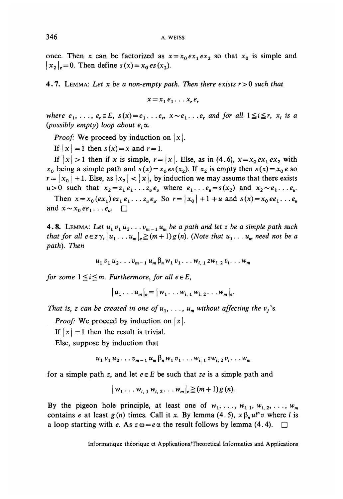once. Then x can be factorized as  $x = x_0 e x_1 e x_2$  so that  $x_0$  is simple and  $|x_2|_e = 0$ . Then define  $s(x) = x_0 \, es(x_2)$ .

**4.7.** LEMMA: Let x be a non-empty path. Then there exists  $r > 0$  such that

 $x = x_1 e_1 \ldots x_r e_r$ 

*where*  $e_1, \ldots, e_r \in E$ ,  $s(x) = e_1 \ldots e_r$ ,  $x \sim e_1 \ldots e_r$  and for all  $1 \leq i \leq r$ ,  $x_i$  is a *(possibly empty) loop about*  $e_i \alpha$ *.* 

*Proof:* We proceed by induction on  $|x|$ .

If  $|x| = 1$  then  $s(x) = x$  and  $r = 1$ .

If  $|x| > 1$  then if x is simple,  $r = |x|$ . Else, as in (4.6),  $x = x_0 e x_1 e x_2$  with  $x_0$  being a simple path and  $s(x) = x_0 \, \text{es}(x_2)$ . If  $x_2$  is empty then  $s(x) = x_0 \, \text{es}(x_2)$  $r = |x_0| + 1$ . Else, as  $|x_2| < |x|$ , by induction we may assume that there exists  $u>0$  such that  $x_2=z_1e_1 \ldots z_u e_u$  where  $e_1 \ldots e_u=s(x_2)$  and  $x_2 \sim e_1 \ldots e_u$ .

Then  $x = x_0(ex_1)ez_1'e_1 \ldots z_u'e_u$ . So  $r = |x_0| + 1 + u$  and  $s(x) = x_0ee_1 \ldots e_u$ and  $x \sim x_0ee_1 \ldots e_\mu$ .  $\square$ 

**4.8.** LEMMA: Let  $u_1v_1u_2\ldots v_{m-1}u_m$  be a path and let z be a simple path such *that for all*  $e \in \mathbb{Z}\gamma$ *,*  $|u_1 \dots u_m|_e \geq (m+1)g(n)$ . *(Note that*  $u_1 \dots u_m$  need not be a *path). Then*

$$
u_1 v_1 u_2 \ldots v_{m-1} u_m \beta_n w_1 v_1 \ldots w_{i, 1} z w_{i, 2} v_i \ldots w_m
$$

*for some*  $1 \leq i \leq m$ *. Furthermore, for all*  $e \in E$ *,* 

 $|u_1 \dots u_m|_{e} = |w_1 \dots w_{i-1} w_{i-2} \dots w_m|_{e}$ 

*That is, z can be created in one of*  $u_1, \ldots, u_m$  without affecting the  $v_j$ 's.

*Proof:* We proceed by induction on |z|.

If  $|z| = 1$  then the result is trivial.

Else, suppose by induction that

 $u_1 v_1 u_2 \ldots v_{m-1} u_m \beta_n w_1 v_1 \ldots w_{i-1} z w_i v_2 \ldots w_m$ 

for a simple path z, and let *eeE* be such that *ze* is a simple path and

$$
|w_1 \dots w_{i,1} w_{i,2} \dots w_m|_{e} \geq (m+1) g(n).
$$

By the pigeon hole principle, at least one of  $w_1, \ldots, w_{i,1}, w_{i,2}, \ldots, w_m$ contains *e* at least  $g(n)$  times. Call it x. By lemma (4.5),  $x \beta_n u^{n} v$  where *l* is a loop starting with e. As  $z\omega = e\alpha$  the result follows by lemma (4.4).  $\Box$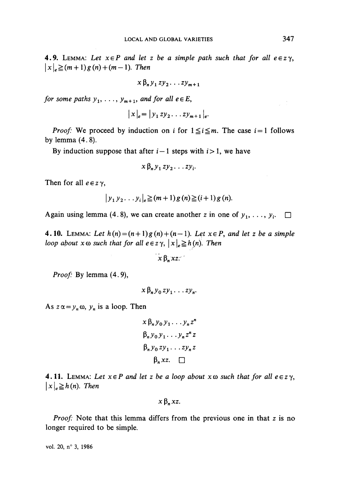**4.9.** LEMMA: Let  $x \in P$  and let z be a simple path such that for all  $e \in z \gamma$ ,  $|x|_{e} \geq (m+1) g(n) + (m-1)$ . Then

$$
x\,\beta_n\,y_1\,zy_2\ldots zy_{m+1}
$$

*for some paths*  $y_1, \ldots, y_{m+1}$ *, and for all e*  $\in E$ *,* 

$$
|x|_e = |y_1 z y_2 \dots z y_{m+1}|_e.
$$

*Proof:* We proceed by induction on *i* for  $1 \le i \le m$ . The case  $i = 1$  follows by lemma (4. 8).

By induction suppose that after  $i-1$  steps with  $i>1$ , we have

$$
x\beta_n y_1 z y_2 \ldots z y_i.
$$

Then for all  $e \in z \gamma$ ,

$$
|y_1 y_2 ... y_i|_e \geq (m+1) g(n) \geq (i+1) g(n).
$$

Again using lemma (4.8), we can create another *z* in one of  $y_1, \ldots, y_i$ .  $\Box$ 

**4.10.** LEMMA: Let  $h(n) = (n+1)g(n) + (n-1)$ . Let  $x \in P$ , and let z be a simple *loop about*  $x \omega$  *such that for all*  $e \in z \gamma$ *,*  $|x|_e \geq h(n)$ *. Then* 

 $x \beta$ ,  $xz$ .

*Proof:* By lemma (4.9),

$$
x \beta_n y_0 z y_1 \ldots z y_n
$$

As  $z \alpha = y_n \omega$ ,  $y_n$  is a loop. Then

$$
x \beta_n y_0 y_1 \dots y_n z^n
$$
  
\n
$$
\beta_n y_0 y_1 \dots y_n z^n z
$$
  
\n
$$
\beta_n y_0 z y_1 \dots z y_n z
$$
  
\n
$$
\beta_n x z. \square
$$

**4.11.** LEMMA: Let  $x \in P$  and let z be a loop about  $x \omega$  such that for all  $e \in z \gamma$ ,  $|x|_e \geq h(n)$ . Then

 $x \beta_n xz$ .

*Proof:* Note that this lemma differs from the previous one in that z is no longer required to be simple.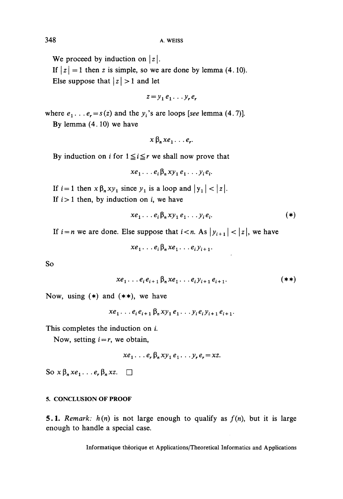We proceed by induction on  $|z|$ .

If  $|z| = 1$  then z is simple, so we are done by lemma (4.10). Else suppose that  $|z| > 1$  and let

$$
z = y_1 e_1 \dots y_r e_r
$$

where  $e_1 \ldots e_r = s(z)$  and the  $y_i$ 's are loops [see lemma (4.7)].

By lemma (4.10) we have

$$
x \beta_n x e_1 \ldots e_r
$$

By induction on i for  $1 \le i \le r$  we shall now prove that

$$
xe_1 \ldots e_i \beta_n xy_1 e_1 \ldots y_i e_i.
$$

If  $i = 1$  then  $x \beta_n xy_1$  since  $y_1$  is a loop and  $|y_1| < |z|$ . If  $i > 1$  then, by induction on *i*, we have

$$
xe_1 \ldots e_i \beta_n xy_1 e_1 \ldots y_i e_i. \tag{*}
$$

If  $i = n$  we are done. Else suppose that  $i < n$ . As  $|y_{i+1}| < |z|$ , we have

 $xe_1 \ldots e_i \beta_n xe_1 \ldots e_i y_{i+1}.$ 

So

$$
xe_1 \ldots e_i e_{i+1} \beta_n xe_1 \ldots e_i y_{i+1} e_{i+1}.
$$

Now, using  $(*)$  and  $(**)$ , we have

$$
xe_1 \ldots e_i e_{i+1} \beta_n xy_1 e_1 \ldots y_i e_i y_{i+1} e_{i+1}.
$$

This completes the induction on  $i$ .

Now, setting  $i = r$ , we obtain,

$$
xe_1 \ldots e_r \beta_n xy_1 e_1 \ldots y_r e_r = xz.
$$

So  $x \beta_n x e_1 \dots e_r \beta_n x z$ .  $\Box$ 

#### 5. CONCLUSION OF PROOF

5.1. Remark:  $h(n)$  is not large enough to qualify as  $f(n)$ , but it is large enough to handle a special case.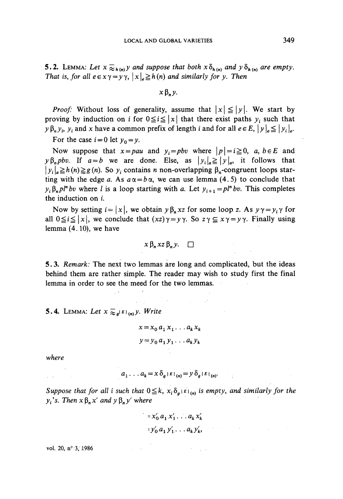**5.2.** LEMMA: Let  $x \ge_{h(n)} y$  and suppose that both  $x \delta_{h(n)}$  and  $y \delta_{h(n)}$  are empty. *That is, for all*  $e \in x \gamma = y \gamma$ *,*  $|x|_e \geq h(n)$  *and similarly for y. Then* 

 $x \beta, y$ .

*Proof:* Without loss of generality, assume that  $|x| \le |y|$ . We start by proving by induction on *i* for  $0 \le i \le |x|$  that there exist paths  $y_i$  such that  $y \beta_n y_i$ ,  $y_i$  and x have a common prefix of length *i* and for all  $e \in E$ ,  $|y| \neq |y_i| \neq$ .

For the case  $i = 0$  let  $y_0 = y$ .

Now suppose that  $x = pau$  and  $y_i = pbv$  where  $|p| = i \ge 0$ , a,  $b \in E$  and  $y \beta_n p b v$ . If  $a = b$  we are done. Else, as  $|y_i|_a \ge |y|_a$ , it follows that  $|y_i|_a \ge h(n) \ge g(n)$ . So  $y_i$  contains n non-overlapping  $\beta_n$ -congruent loops starting with the edge *a*. As  $a\alpha = b\alpha$ , we can use lemma (4.5) to conclude that  $y_i \beta_n p l^n b v$  where *l* is a loop starting with *a*. Let  $y_{i+1} = p l^n b v$ . This completes the induction on i.

Now by setting  $i = |x|$ , we obtain  $y \beta_n xz$  for some loop z. As  $y \gamma = y_i \gamma$  for all  $0 \le i \le |x|$ , we conclude that  $(xz)\gamma = y\gamma$ . So  $z\gamma \le x\gamma = y\gamma$ . Finally using lemma (4.10), we have

$$
x \beta_n x z \beta_n y. \square
$$

5.3. *Remark:* The next two lemmas are long and complicated, but the ideas behind them are rather simple. The reader may wish to study first the final lemma in order to see the meed for the two lemmas.

5.4. LEMMA: Let  $x \geq a|E|_{(n)} y$ . Write

$$
x = x_0 a_1 x_1 \dots a_k x_k
$$
  

$$
y = y_0 a_1 y_1 \dots a_k y_k
$$

*where*

$$
a_1 \dots a_k = x \, \delta_a \, \varepsilon \, \varepsilon_{(n)} = y \, \delta_a \, \varepsilon \, \varepsilon_{(n)}.
$$

*Suppose that for all i such that*  $0 \leq k$ ,  $x_i \delta_{g}(\varepsilon|_{(n)})$  *is empty, and similarly for the*  $y_i$ 's. Then  $x \beta_n x'$  and  $y \beta_n y'$  where

$$
= x'_0 a_1 x'_1 \dots a_k x'_k
$$
  

$$
= y'_0 a_1 y'_1 \dots a_k y'_k,
$$

**vol. 20, n? 3, .1986**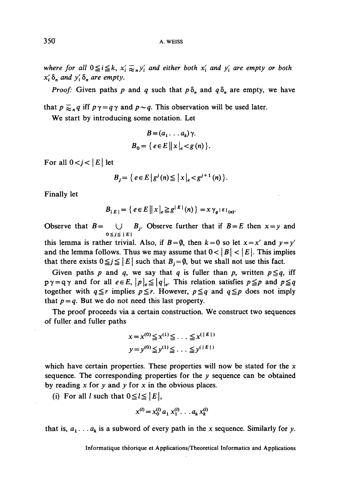*where for all*  $0 \leq i \leq k$ ,  $x_i \geq_n y_i'$  and either both  $x_i'$  and  $y_i'$  are empty or both  $x'_i \, \delta_n$  and  $y'_i \, \delta_n$  are empty.

*Proof:* Given paths p and q such that  $p \delta_n$  and  $q \delta_n$  are empty, we have

that  $p \geqslant_{n} q$  iff  $p \gamma = q \gamma$  and  $p \sim q$ . This observation will be used later.

We start by introducing some notation. Let

$$
B = (a_1 \dots a_k) \gamma.
$$
  

$$
B_0 = \{ e \in E \mid \mid x \mid_e < g(n) \}.
$$

For all  $0 < i < |E|$  let

$$
B_j = \{ e \in E \, | \, g^j(n) \leq |x|_e < g^{j+1}(n) \}.
$$

Finally let

$$
B_{|E|} = \left\{ e \in E \, \middle\| \, x \big|_e \geq g^{|E|}(n) \right\} = x \, \gamma_g \, \varepsilon \, \varepsilon_{(n)}.
$$

Observe that  $B = \bigcup_{0 \le j \le l} B_j$ . Observe further that if  $B = E$  then  $x = y$  and

this lemma is rather trivial. Also, if  $B = \emptyset$ , then  $k = 0$  so let  $x = x'$  and  $y = y'$ and the lemma follows. Thus we may assume that  $0 < |B| < |E|$ . This implies that there exists  $0 \leq j \leq |E|$  such that  $B_j = \emptyset$ , but we shall not use this fact.

Given paths p and q, we say that q is fuller than p, written  $p \leq q$ , iff  $p\gamma = q\gamma$  and for all  $e \in E$ ,  $|p|_e \leq |q|_e$ . This relation satisfies  $p \leq p$  and  $p \leq q$ together with  $q \le r$  implies  $p \le r$ . However,  $p \le q$  and  $q \le p$  does not imply that  $p = q$ . But we do not need this last property.

The proof proceeds via a certain construction. We construct two sequences of fuller and fuïler paths

$$
x = x^{(0)} \leq x^{(1)} \leq \ldots \leq x^{(\lfloor E \rfloor)}
$$
  

$$
y = y^{(0)} \leq y^{(1)} \leq \ldots \leq y^{(\lfloor E \rfloor)}
$$

which have certain properties. These properties will now be stated for the  $x$ sequence. The corresponding properties for the *y* sequence can be obtained by reading  $x$  for  $y$  and  $y$  for  $x$  in the obvious places.

(i) For all *l* such that  $0 \le l \le |E|$ ,

$$
x^{(l)} = x_0^{(l)} a_1 x_1^{(l)} \dots a_k x_k^{(l)}
$$

that is,  $a_1 \ldots a_k$  is a subword of every path in the x sequence. Similarly for y.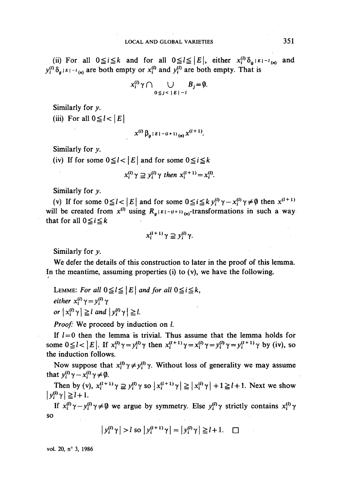(ii) For all  $0 \le i \le k$  and for all  $0 \le l \le |E|$ , either  $x_i^{(l)} \delta_{g^{|E|-l}(n)}$  and  $E[i-i_{(n)}]$  are both empty or  $x_i^{(l)}$  and  $y_i^{(l)}$  are both empty. That is

$$
x_i^{(l)} \gamma \cap \bigcup_{0 \leq j < |E| - l} B_j = \emptyset.
$$

Similarly for *y.*

(iii) For all  $0 \le l < |E|$ 

$$
x^{(l)}\beta_a|E|-(l+1)\binom{n}{m}x^{(l+1)}
$$
.

Similarly for *y.*

(iv) If for some  $0 \le l < |E|$  and for some  $0 \le i \le k$ 

$$
x_i^{(l)} \gamma \supseteq y_i^{(l)} \gamma \text{ then } x_i^{(l+1)} = x_i^{(l)}.
$$

Similarly for *y.*

(v) If for some  $0 \le i < |E|$  and for some  $0 \le i \le k y_i^{(l)} \gamma - x_i^{(l)} \gamma \ne \emptyset$  then  $x^{(l+1)}$ will be created from  $x^{(l)}$  using  $R_g |E| - (l+1)_{(n)}$ -transformations in such a way that for all  $0 \le i \le k$ 

$$
x_i^{(l+1)}\gamma \supseteq y_i^{(l)}\gamma.
$$

Similarly for *y.*

We defer the detaiis of this construction to later in the proof of this lemma. In the meantime, assuming properties (i) to  $(v)$ , we have the following.

LEMME: For all  $0 \leq l \leq |E|$  and for all  $0 \leq i \leq k$ , *either*  $x_i^{(l)} \gamma = y_i^{(l)} \gamma$ or  $|x_i^{(l)} \gamma| \ge l$  and  $|y_i^{(l)} \gamma| \ge l$ .

*Proof:* We proceed by induction on *l.* 

If  $l=0$  then the lemma is trivial. Thus assume that the lemma holds for some  $0 \le l < |E|$ . If  $x_i^{(l)} \gamma = y_i^{(l)} \gamma$  then  $x_i^{(l+1)} \gamma = x_i^{(l)} \gamma = y_i^{(l+1)} \gamma$  by (iv), so the induction follows.

Now suppose that  $x_i^{(l)} \gamma \neq y_i^{(l)} \gamma$ . Without loss of generality we may assume that  $y_i^{(l)} \gamma - x_i^{(l)} \gamma \neq \emptyset$ .

Then by (v),  $x_i^{(l+1)} \gamma \supseteq y_i^{(l)} \gamma$  so  $\left| x_i^{(l+1)} \gamma \right| \geq \left| x_i^{(l)} \gamma \right| + 1 \geq l+1$ . Next we show  $|\overline{v_i^{(l)}\gamma}| \ge l+1.$ 

If  $x_i^{(l)}\gamma - y_i^{(l)}\gamma \neq 0$  we argue by symmetry. Else  $y_i^{(l)}\gamma$  strictly contains  $x_i^{(l)}\gamma$ so

$$
\left| y_i^{(l)} \gamma \right| > l \text{ so } \left| y_i^{(l+1)} \gamma \right| = \left| y_i^{(l)} \gamma \right| \ge l+1. \quad \Box
$$

**voL 20, n° 3, 1986**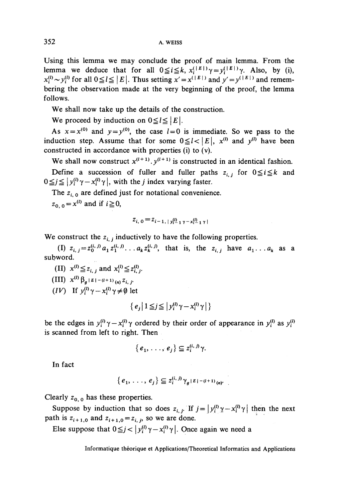Using this lemma we may conclude the proof of main lemma. From the lemma we deduce that for all  $0 \leq i \leq k$ ,  $x_i^{(\lfloor E\rfloor)} \gamma = y_i^{(\lfloor E\rfloor)} \gamma$ . Also, by (i),  $x_i^{(l)} \sim y_i^{(l)}$  for all  $0 \le l \le |E|$ . Thus setting  $x' = x^{(|E|)}$  and  $y' = y^{(|E|)}$  and remembering the observation made at the very beginning of the proof, the lemma follows.

We shall now take up the details of the construction.

We proceed by induction on  $0 \le l \le |E|$ .

As  $x = x^{(0)}$  and  $y = y^{(0)}$ , the case  $l = 0$  is immediate. So we pass to the induction step. Assume that for some  $0 \leq l < |E|$ ,  $x^{(l)}$  and  $y^{(l)}$  have been constructed in accordance with properties (i) to (v).

We shall now construct  $x^{(l+1)}$ ,  $y^{(l+1)}$  is constructed in an identical fashion. Define a succession of fuller and fuller paths  $z_{i,j}$  for  $0 \le i \le k$  and  $0 \leq j \leq |y_i^{(l)} \gamma - x_i^{(l)} \gamma|$ , with the *j* index varying faster.

The  $z_{i,0}$  are defined just for notational convenience.

 $z_{0,0} = x^{(l)}$  and if i

$$
z_{i, 0} = z_{i-1, \lvert y_i^{(i)} \rvert} \gamma - x_{i-1}^{(i)} \gamma
$$

We construct the  $z_{i,j}$  inductively to have the following properties.

(I)  $z_{i,j}=z_0^{(i,j)}a_1z_1^{(i,j)}\ldots a_kz_k^{(i,j)}$ , that is, the  $z_{i,j}$  have  $a_1 \ldots a_k$  as a subword.

 $(L) \; x^{(l)} \leq z_{i,j}$ 

 $\left(\text{III}\right) \ x^{(l)} \beta_{q} \mid E\mid$ 

*(IV)* If  $y_i^{(l)} \gamma - x_i^{(l)} \gamma \neq \emptyset$  let

$$
\{e_j \mid 1 \leq j \leq |y_i^{(l)} \gamma - x_i^{(l)} \gamma| \}
$$

be the edges in  $y_i^{(l)} \gamma - x_i^{(l)} \gamma$  ordered by their order of appearance in  $y_i^{(l)}$  as  $y_i^{(l)}$ is scanned from left to right. Then

$$
\{e_1,\ldots,e_j\}\subseteq\mathbf{z}_i^{(i,j)}\gamma.
$$

In fact

$$
\{e_1,\ldots,e_j\}\subseteq \mathbb{Z}_i^{(i,j)}\gamma_g\mathbb{E}\left[-(l+1)\right]_{(n)}.
$$

Clearly  $z_{0,0}$  has these properties.

Suppose by induction that so does  $z_{i,j}$ . If  $j = |y_i^{(l)} \gamma - x_i^{(l)} \gamma|$  then the next path is  $z_{i+1,0}$  and  $z_{i+1,0} = z_{i,j}$ , so we are done.

Else suppose that  $0 \leq j < | y_i^{(l)} \gamma - x_i^{(l)} \gamma |$ . Once again we need a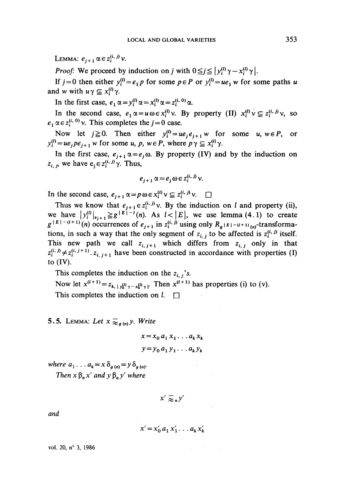Lemma:  $e_{j+1} \alpha \in z_i^{(i, j)}$  v.

*Proof:* We proceed by induction on *j* with  $0 \le j \le |y_i^{(l)} \gamma - x_i^{(l)} \gamma|$ .

If  $j = 0$  then either  $y_i^{(l)} = e_1 p$  for some  $p \in P$  or  $y_i^{(l)} = ue_1 w$  for some paths *u* and w with  $u \gamma \subseteq x^{(l)}_z \gamma$ .

In the first case,  $e_1 \alpha = y_i^{(l)} \alpha = x_i^{(l)} \alpha = z_i^{(i, 0)} \alpha$ .

In the second case,  $e_1 \alpha = u \omega \in x_i^{(l)} \nu$ . By property (II)  $x_i^{(l)} \nu \subseteq z_i^{(i,j)} \nu$ , so  $e_1 \alpha \in z_i^{(i, 0)}$  v. This completes the  $j = 0$  case.

Now let  $j \ge 0$ . Then either  $y_i^{(l)} = ue_j e_{j+1} w$  for some u,  $w \in P$ , or  $y_i^{(l)} = ue_jpe_{j+1}$  *w* for some *u*, *p*,  $w \in P$ , where  $p \gamma \subseteq x_i^{(l)} \gamma$ .

In the first case,  $e_{i+1} \alpha = e_i \omega$ . By property (IV) and by the induction on  $z_{i, j}$ , we have  $e_j \in z_i^{(i, j)} \gamma$ . Thus,

$$
e_{j+1} \alpha = e_j \omega \in z_i^{(i,j)} \nu.
$$

In the second case,  $e_{j+1} \alpha = p \omega \in x_i^{(i)} \vee \subseteq z_i^{(i,j)} \vee$ .

Thus we know that  $e_{j+1} \in z_i^{(i,j)} \vee$ . By the induction on *l* and property (ii), we have  $\left| y_i^{(l)} \right|_{e_{i+1}} \geq g^{\lceil E \rceil - l}(n)$ . As  $l < |E|$ , we use lemma (4.1) to create  $g^{|E| - (l+1)}(n)$  occurrences of  $e_{j+1}$  in  $z_i^{(i)}$ , using only  $R_g |E| - (l+1)$  <sub>(n)</sub>-transformations, in such a way that the only segment of  $z_{i,j}$  to be affected is  $z_i^{(i,j)}$  itself. This new path we call  $z_{i,j+1}$  which differs from  $z_{i,j}$  only in that  $z_i^{(i,j)} \neq z_i^{(i,j+1)}$ .  $z_{i,j+1}$  have been constructed in accordance with properties (I) to (IV).

This completes the induction on the  $z_{i,j}$ 's.

Now let  $x^{(l+1)} = z_{k, \vert y_k^{(l)} \vert y - x_k^{(l)} \vert y}$ . Then  $x^{(l+1)}$  has properties (i) to (v)

This completes the induction on  $l$ .  $\Box$ 

### 5.5. LEMMA: Let  $x \geq a(n)$ *y. Write*

$$
x = x_0 a_1 x_1 \dots a_k x_k
$$
  

$$
y = y_0 a_1 y_1 \dots a_k y_k
$$

*where*  $a_1 \nldots a_k = x \delta_{a(n)} = y \delta_{a(n)}$ . *Then*  $x \beta_n x'$  *and*  $y \beta_n y'$  *where* 

$$
x' \gtrsim_{\sf n} y'
$$

*and*

$$
x' = x'_0 \, a_1 \, x'_1 \ldots a_k \, x'_k
$$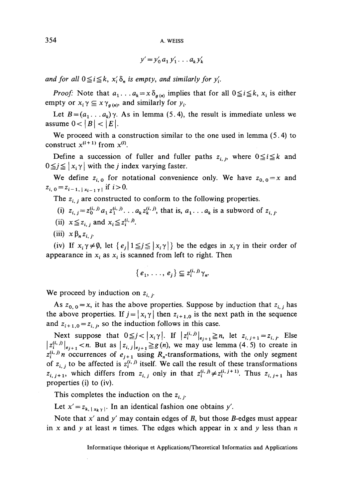354 A. WEiss

$$
y'=y'_0\,a_1\,y'_1\ldots a_k\,y'_k
$$

and for all  $0 \le i \le k$ ,  $x_i' \delta_n$  is empty, and similarly for  $y_i'$ .

*Proof:* Note that  $a_1 \nvert a_k = x \delta_{g(n)}$  implies that for all  $0 \le i \le k$ ,  $x_i$  is either empty or  $x_i \gamma \subseteq x \gamma_{g(n)}$ , and similarly for  $y_i$ .

Let  $B = (a_1 \ldots a_k) \gamma$ . As in lemma (5.4), the result is immediate unless we assume  $0 < |B| < |E|$ .

We proceed with a construction similar to the one used in lemma (5.4) to construct  $x^{(l+1)}$  from  $x^{(l)}$ .

Define a succession of fuller and fuller paths  $z_{i,p}$  where  $0 \le i \le k$  and  $0 \leq j \leq |x_i \gamma|$  with the *j* index varying faster.

We define  $z_{i,0}$  for notational convenience only. We have  $z_{0,0} = x$  and  $z_{i,0} = z_{i-1,1,x_{i-1},y}$  if  $i>0$ .

The  $z_{i,j}$  are constructed to conform to the following properties.

- (1)  $z_{i, j} = z_0^{(i, j)} a_1 z_1^{(i, j)} \dots a_k z_k^{(i, j)}$ , that is,  $a_1 \dots a_k$  is a subword of  $z_{i, j}$ .
- (ii)  $x \leq z_{i,j}$  and  $x_i \leq z_i^{(i,j)}$ .
- (iii)  $x \beta_n z_{i}$ .

(iv) If  $x_i \gamma \neq \emptyset$ , let  $\{e_i | 1 \leq j \leq |x_i \gamma| \}$  be the edges in  $x_i \gamma$  in their order of appearance in  $x_i$  as  $x_i$  is scanned from left to right. Then

$$
\{e_1,\ldots,e_j\}\subseteq z_i^{(i,j)}\gamma_n.
$$

We proceed by induction on  $z_{i,j}$ .

As  $z_{0,0} = x$ , it has the above properties. Suppose by induction that  $z_{i,j}$  has the above properties. If  $j = |x_i \gamma|$  then  $z_{i+1,0}$  is the next path in the sequence and  $z_{i+1,0} = z_{i,j}$ , so the induction follows in this case.

Next suppose that  $0 \leq j < |x_i \gamma|$ . If  $|z_i^{(i,j)}|_{e_{i+1}} \geq n$ , let  $z_{i,j+1} = z_{i,j}$ . Else  $\left| z_i^{(i,j)} \right|_{e_{i+1}} < n$ . But as  $\left| z_{i,j} \right|_{e_{i+1}} \geq g(n)$ , we may use lemma (4.5) to create in  $z_i^{(i,j)}$  *n* occurrences of  $e_{j+1}$  using  $R_n$ -transformations, with the only segment of  $z_{i,j}$  to be affected is  $z_i^{(i,j)}$  itself. We call the result of these transformations  $z_{i, j+1}$ , which differs from  $z_{i, j}$  only in that  $z_i^{(i, j)} \neq z_i^{(i, j+1)}$ . Thus  $z_{i, j+1}$  has properties (i) to (iv).

This completes the induction on the  $z_{i,j}$ 

Let  $x' = z_{k, |x_k|}$ . In an identical fashion one obtains y'.

Note that  $x'$  and  $y'$  may contain edges of  $B$ , but those  $B$ -edges must appear in x and *y* at least *n* times. The edges which appear in x and *y* less than *n*